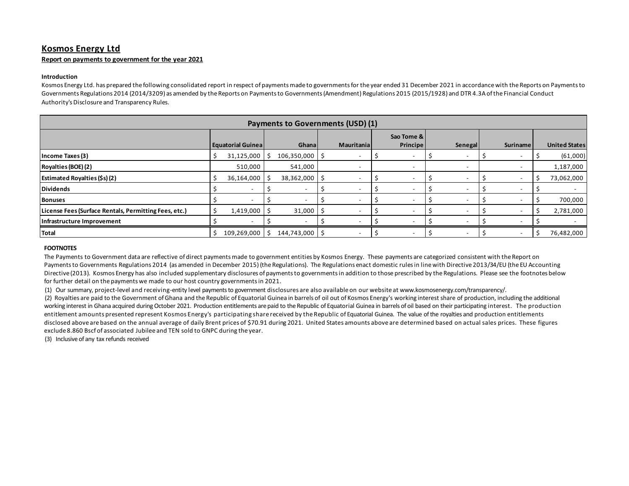# **Kosmos Energy Ltd**

## **Report on payments to government for the year 2021**

## **Introduction**

Kosmos Energy Ltd. has prepared the following consolidated report in respect of payments made to governments for the year ended 31 December 2021 in accordance with the Reports on Payments to Governments Regulations 2014 (2014/3209) as amended by the Reports on Payments to Governments (Amendment) Regulations 2015 (2015/1928) and DTR 4.3A of the Financial Conduct Authority's Disclosure and Transparency Rules.

| Payments to Governments (USD) (1)                     |                          |             |        |                          |  |             |  |                               |  |                          |  |                 |  |                      |
|-------------------------------------------------------|--------------------------|-------------|--------|--------------------------|--|-------------|--|-------------------------------|--|--------------------------|--|-----------------|--|----------------------|
|                                                       | <b>Equatorial Guinea</b> |             | Ghanal |                          |  | Mauritanial |  | Sao Tome &<br><b>Principe</b> |  | Senegal                  |  | <b>Suriname</b> |  | <b>United States</b> |
| Income Taxes (3)                                      |                          | 31,125,000  | l S    | $106,350,000$ \$         |  |             |  |                               |  |                          |  |                 |  | (61,000)             |
| Royalties (BOE) (2)                                   |                          | 510,000     |        | 541,000                  |  |             |  |                               |  |                          |  |                 |  | 1,187,000            |
| <b>Estimated Royalties (\$s) (2)</b>                  |                          | 36,164,000  | I S    | $38,362,000$ \$          |  |             |  |                               |  | $\overline{\phantom{0}}$ |  |                 |  | 73,062,000           |
| <b>Dividends</b>                                      |                          |             |        | $\overline{\phantom{a}}$ |  |             |  |                               |  |                          |  |                 |  |                      |
| <b>Bonuses</b>                                        |                          |             |        | $\overline{\phantom{a}}$ |  |             |  |                               |  |                          |  |                 |  | 700,000              |
| License Fees (Surface Rentals, Permitting Fees, etc.) |                          | 1,419,000   | I S    | $31,000$ \$              |  |             |  |                               |  | $\overline{\phantom{0}}$ |  |                 |  | 2,781,000            |
| Infrastructure Improvement                            |                          |             |        |                          |  |             |  |                               |  |                          |  |                 |  |                      |
| <b>Total</b>                                          |                          | 109,269,000 | I S    | 144,743,000 \$           |  |             |  |                               |  |                          |  |                 |  | 76,482,000           |

## **FOOTNOTES**

The Payments to Government data are reflective of direct payments made to government entities by Kosmos Energy. These payments are categorized consistent with the Report on Payments to Governments Regulations 2014 (as amended in December 2015) (the Regulations). The Regulations enact domestic rules in line with Directive 2013/34/EU (the EU Accounting Directive (2013). Kosmos Energy has also included supplementary disclosures of payments to governments in addition to those prescribed by the Regulations. Please see the footnotes below for further detail on the payments we made to our host country governments in 2021.

(1) Our summary, project-level and receiving-entity level payments to government disclosures are also available on our website at www.kosmosenergy.com/transparency/.

(2) Royalties are paid to the Government ofGhana and the Republic of Equatorial Guinea in barrels of oil out of Kosmos Energy's working interest share of production, including the additional working interest in Ghana acquired during October 2021. Production entitlements are paid to the Republic of Equatorial Guinea in barrels of oil based on their participating interest. The production entitlement amounts presented represent Kosmos Energy's participating share received by the Republic of Equatorial Guinea. The value of the royalties and production entitlements disclosed above are based on the annual average of daily Brent prices of \$70.91 during 2021. United States amounts above are determined based on actual sales prices. These figures exclude 8.860 Bscf of associated Jubilee and TEN sold to GNPC during the year.

(3) Inclusive of any tax refunds received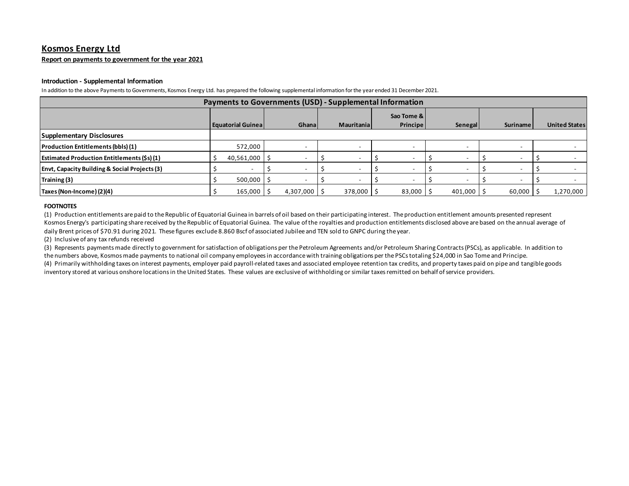## **Kosmos Energy Ltd**

**Report on payments to government for the year 2021**

## **Introduction - Supplemental Information**

In addition to the above Payments to Governments, Kosmos Energy Ltd. has prepared the following supplemental information for the year ended 31 December 2021.

| Payments to Governments (USD) - Supplemental Information |  |                          |  |                  |  |             |  |                        |  |                |  |                 |  |                      |
|----------------------------------------------------------|--|--------------------------|--|------------------|--|-------------|--|------------------------|--|----------------|--|-----------------|--|----------------------|
|                                                          |  | <b>Equatorial Guinea</b> |  | Ghana            |  | Mauritanial |  | Sao Tome &<br>Principe |  | <b>Senegal</b> |  | <b>Suriname</b> |  | <b>United States</b> |
| <b>Supplementary Disclosures</b>                         |  |                          |  |                  |  |             |  |                        |  |                |  |                 |  |                      |
| <b>Production Entitlements (bbls) (1)</b>                |  | 572,000                  |  |                  |  |             |  |                        |  |                |  |                 |  |                      |
| <b>Estimated Production Entitlements (\$s) (1)</b>       |  | 40,561,000               |  |                  |  |             |  |                        |  |                |  |                 |  |                      |
| <b>Envt, Capacity Building &amp; Social Projects (3)</b> |  |                          |  |                  |  |             |  |                        |  |                |  |                 |  |                      |
| Training (3)                                             |  | 500,000                  |  |                  |  |             |  |                        |  |                |  |                 |  |                      |
| Taxes (Non-Income) (2)(4)                                |  | 165,000                  |  | $4,307,000$   \$ |  | 378,000     |  | 83,000                 |  | $401,000$ \$   |  | 60,000          |  | 1,270,000            |

## **FOOTNOTES**

(1) Production entitlements are paid to the Republic of Equatorial Guinea in barrels of oil based on their participating interest. The production entitlement amounts presented represent Kosmos Energy's participating share received by the Republic of Equatorial Guinea. The value of the royalties and production entitlements disclosed above are based on the annual average of daily Brent prices of \$70.91 during 2021. These figures exclude 8.860 Bscf of associated Jubilee and TEN sold to GNPC during the year.

(2) Inclusive of any tax refunds received

(3) Represents payments made directly to government for satisfaction of obligations per the Petroleum Agreements and/or Petroleum Sharing Contracts (PSCs), as applicable. In addition to the numbers above, Kosmos made payments to national oil company employees in accordance with training obligations per the PSCs totaling \$24,000 in Sao Tome and Principe.

(4) Primarily withholding taxes on interest payments, employer paid payroll-related taxes and associated employee retention tax credits, and property taxes paid on pipe and tangible goods inventory stored at various onshore locations in the United States. These values are exclusive of withholding or similar taxes remitted on behalf of service providers.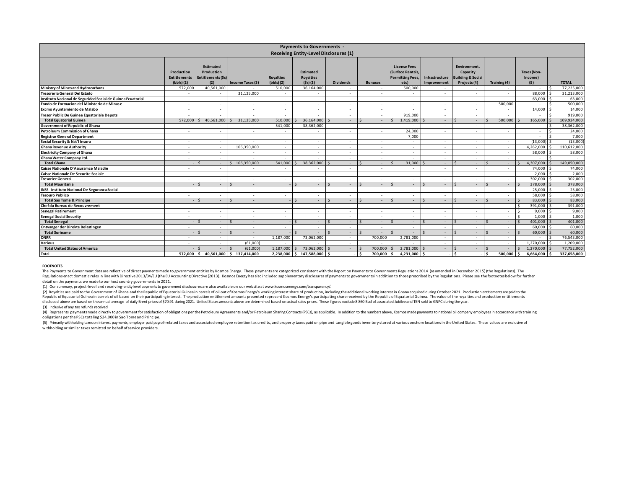| <b>Payments to Governments -</b>                            |                                                     |                                                                    |                                 |                               |                                                 |                  |                   |                                                                             |                                      |                                                                          |              |                                      |                   |  |  |
|-------------------------------------------------------------|-----------------------------------------------------|--------------------------------------------------------------------|---------------------------------|-------------------------------|-------------------------------------------------|------------------|-------------------|-----------------------------------------------------------------------------|--------------------------------------|--------------------------------------------------------------------------|--------------|--------------------------------------|-------------------|--|--|
|                                                             | Receiving Entity-Level Disclosures (1)              |                                                                    |                                 |                               |                                                 |                  |                   |                                                                             |                                      |                                                                          |              |                                      |                   |  |  |
|                                                             | Production<br><b>Entitlements</b><br>$(bbls)$ $(2)$ | <b>Estimated</b><br><b>Production</b><br>Entitlements (\$s)<br>(2) | Income Taxes (3)                | <b>Royalties</b><br>(bbls)(2) | <b>Estimated</b><br><b>Royalties</b><br>(Ss)(2) | <b>Dividends</b> | <b>Bonuses</b>    | <b>License Fees</b><br>(Surface Rentals.<br><b>Permitting Fees,</b><br>etc) | Infrastructure<br><b>Improvement</b> | Environment.<br>Capacity<br><b>Building &amp; Social</b><br>Projects (4) | Training (4) | <b>Taxes (Non-</b><br>Income)<br>(5) | <b>TOTAL</b>      |  |  |
| Ministry of Mines and Hydrocarbons                          | 572,000                                             | 40,561,000                                                         |                                 | 510,000                       | 36,164,000                                      |                  |                   | 500,000                                                                     |                                      |                                                                          |              |                                      | 77,225,000        |  |  |
| Tresoreria General Del Estado                               | ٠                                                   |                                                                    | 31,125,000                      |                               | $\sim$                                          | $\sim$           | $\sim$            |                                                                             | $\sim$                               | $\sim$                                                                   | $\sim$       | 88,000                               | 31,213,000        |  |  |
| Instituto Nacional de Seguridad Social de Guinea Ecuatorial | $\sim$                                              | $\sim$                                                             | $\sim$                          |                               | $\sim$                                          | $\sim$           | ٠                 | $\sim$                                                                      | $\sim$                               | $\sim$                                                                   | $\sim$       | 63,000                               | 63,000            |  |  |
| Fondo de Formacion del Ministerio de Minas e                | ٠                                                   |                                                                    | $\sim$                          |                               | $\sim$                                          |                  |                   | $\sim$                                                                      |                                      |                                                                          | 500,000      |                                      | 500,000           |  |  |
| Excmo Ayuntamiento de Malabo                                | $\sim$                                              | $\sim$                                                             | $\sim$                          | ٠                             | $\sim$                                          | $\sim$           | $\sim$            | $\sim$                                                                      |                                      | $\sim$                                                                   | $\sim$       | 14,000                               | 14,000            |  |  |
| <b>Tresor Public De Guinee Equatoriale Depots</b>           | ٠                                                   |                                                                    | $\sim$                          |                               | $\sim$                                          |                  |                   | 919,000                                                                     |                                      | ÷.                                                                       | $\sim$       |                                      | 919,000           |  |  |
| <b>Total Equatorial Guinea</b>                              | 572.000                                             | 40.561.000                                                         | 31.125.000                      | 510,000                       | 36.164.000                                      | $\sim$           | ٠                 | 1.419.000                                                                   | $\overline{\phantom{a}}$             | ÷                                                                        | 500.000      | 165,000                              | 109.934.000       |  |  |
| Government of Republic of Ghana                             | ٠                                                   |                                                                    |                                 | 541,000                       | 38,362,000                                      |                  |                   |                                                                             |                                      | ٠                                                                        | $\sim$       |                                      | 38,362,000        |  |  |
| Petroleum Commission of Ghana                               | $\sim$                                              | $\overline{\phantom{a}}$                                           | $\sim$                          |                               | $\sim$                                          | $\sim$           | $\sim$            | 24,000                                                                      | $\sim$                               | $\sim$                                                                   | $\sim$       | $\sim$                               | 24,000<br>Ŝ.      |  |  |
| <b>Registrar General Department</b>                         |                                                     |                                                                    |                                 |                               |                                                 |                  |                   | 7,000                                                                       |                                      |                                                                          |              |                                      | 7,000             |  |  |
| Social Security & Nat'l Insura                              | $\overline{\phantom{a}}$                            |                                                                    |                                 |                               | $\sim$                                          |                  |                   | $\sim$                                                                      |                                      |                                                                          | $\sim$       | (13,000)                             | (13,000)          |  |  |
| <b>Ghana Revenue Authority</b>                              | $\sim$                                              | $\sim$                                                             | 106,350,000                     | $\sim$                        | $\sim$                                          | $\sim$           | $\sim$            | $\sim$                                                                      |                                      | $\sim$                                                                   | $\sim$       | 4,262,000                            | 110,612,000<br>-S |  |  |
| <b>Electricity Company of Ghana</b>                         | $\sim$                                              | $\sim$                                                             | $\sim$                          | $\sim$                        | $\sim$                                          | $\sim$           | $\sim$            | $\sim$                                                                      | $\sim$                               | $\sim$                                                                   | $\sim$       | 58,000                               | 58,000            |  |  |
| Ghana Water Company Ltd.                                    | $\overline{\phantom{a}}$                            |                                                                    | $\sim$                          |                               |                                                 |                  |                   | $\sim$                                                                      |                                      | $\sim$                                                                   | $\sim$       |                                      |                   |  |  |
| <b>Total Ghana</b>                                          |                                                     |                                                                    | \$106,350,000                   | 541.000                       | 38,362,000                                      |                  |                   | 31,000                                                                      |                                      | ÷,                                                                       | $\sim$       | 4,307,000                            | 149,050,000       |  |  |
| Caisse Nationale D'Assuramce Maladie                        | $\overline{\phantom{a}}$                            |                                                                    | $\sim$                          |                               | $\sim$                                          |                  |                   | $\sim$                                                                      |                                      | $\sim$                                                                   | $\sim$       | 74.000                               | 74,000            |  |  |
| Caisse Nationale De Securite Sociale                        | $\overline{\phantom{a}}$                            |                                                                    | $\sim$                          |                               | $\sim$                                          |                  |                   | $\sim$                                                                      |                                      | ٠                                                                        | $\sim$       | 2.000                                | 2,000             |  |  |
| <b>Tresorier General</b>                                    | ٠                                                   |                                                                    | $\sim$                          |                               | $\sim$                                          |                  | ٠                 | $\sim$                                                                      |                                      | ÷.                                                                       | $\sim$       | 302.000                              | 302,000           |  |  |
| <b>Total Mauritania</b>                                     |                                                     |                                                                    | $\sim$                          |                               | $\sim$                                          |                  | $\sim$            | $\sim$                                                                      |                                      | ÷                                                                        | $\sim$       | 378,000                              | 378,000           |  |  |
| <b>INSS - Instituto Nacional De Seguranca Social</b>        | $\overline{\phantom{a}}$                            |                                                                    | $\sim$                          | ٠                             | $\sim$                                          |                  | $\sim$            | $\sim$                                                                      |                                      | $\sim$                                                                   | $\sim$       | 25,000                               | 25,000            |  |  |
| <b>Tesouro Publico</b>                                      | $\sim$                                              | $\sim$                                                             | $\sim$                          | $\sim$                        | $\sim$                                          | $\sim$           | $\sim$            | $\sim$                                                                      | $\sim$                               | $\sim$                                                                   | $\sim$       | 58,000                               | 58,000            |  |  |
| <b>Total Sao Tome &amp; Principe</b>                        |                                                     |                                                                    | $\sim$                          |                               | $\sim$                                          |                  |                   | $\sim$                                                                      |                                      | ۰.                                                                       | $\sim$       | 83,000                               | 83,000            |  |  |
| Chef du Bureau de Recouvrement                              |                                                     |                                                                    | $\sim$                          |                               | $\sim$                                          |                  |                   |                                                                             |                                      | ٠                                                                        | $\sim$       | 391.000                              | 391,000           |  |  |
| <b>Senegal Retirement</b>                                   | $\sim$                                              |                                                                    | $\sim$                          | ٠                             | $\sim$                                          | $\sim$           | $\sim$            | $\sim$                                                                      |                                      | $\sim$                                                                   | $\sim$       | 9,000                                | 9,000             |  |  |
| <b>Senegal Social Security</b>                              | $\sim$                                              | $\sim$                                                             | $\sim$                          | $\sim$                        | $\sim$                                          | $\sim$           | $\sim$            | $\sim$                                                                      | $\sim$                               | $\sim$                                                                   | $\sim$       | 1.000                                | 1,000             |  |  |
| <b>Total Senegal</b>                                        |                                                     |                                                                    | $\breve{\phantom{1}}$<br>$\sim$ |                               | $\sim$                                          |                  | $\hat{\varsigma}$ | $\sim$                                                                      |                                      |                                                                          | $\sim$       | 401,000                              | 401,000           |  |  |
| Ontvanger der Direkte Belastingen                           | ٠                                                   |                                                                    | $\sim$                          |                               | $\sim$                                          | $\sim$           | ÷.                | $\sim$                                                                      | $\sim$                               | $\sim$                                                                   | $\sim$       | 60.000                               | 60,000            |  |  |
| <b>Total Suriname</b>                                       |                                                     |                                                                    | $\hat{\zeta}$<br>$\sim$         |                               | $\sim$                                          |                  |                   | $\sim$                                                                      |                                      | ٠                                                                        | $\sim$       | 60,000                               | 60,000            |  |  |
| <b>ONRR</b>                                                 | ٠                                                   |                                                                    | $\sim$                          | 1,187,000                     | 73,062,000                                      | $\sim$           | 700,000           | 2,781,000                                                                   |                                      | ٠                                                                        | $\sim$       |                                      | 76,543,000        |  |  |
| Various                                                     | $\sim$                                              | $\sim$                                                             | (61,000)                        |                               | $\sim$                                          | $\sim$           |                   |                                                                             |                                      | $\sim$                                                                   | $\sim$       | 1,270,000                            | 1,209,000         |  |  |
| <b>Total United States of America</b>                       |                                                     |                                                                    | (61.000                         | 1.187.000                     | 73.062.000                                      |                  | 700.000           | 2.781.000                                                                   |                                      | $\sim$                                                                   | $\sim$       | 1,270,000                            | 77.752.000        |  |  |
| <b>Total</b>                                                | 572.000                                             |                                                                    | 40,561,000 \$ 137,414,000       | 2,238,000                     | $$147,588,000$ \$                               |                  | 700.000           | 4,231,000 \$                                                                |                                      | -                                                                        | 500,000      | 6,664,000                            | 337,658,000       |  |  |

#### **FOOTNOTES**

The Payments to Government data are reflective of direct payments made to government entities by Kosmos Energy. These payments are categorized consistent with the Report on Payments to Governments Regulations 2014 (as amen Regulations enact domestic rules in line with Directive 2013/34/EU (the EU Accounting Directive (2013). Kosmos Energy has also included supplementary disclosures of payments to governments in addition to those prescribed b detail on the payments we made to our host country governments in 2021.

(1) Our summary, project-level and receiving-entity level paymentsto government disclosures are also available on our website at www.kosmosenergy.com/transparency/.

(2) Royalties are paid to the Government of Ghana and the Republic of Equatorial Guinea in barrels of oil out of Kosmos Energy's working interest share of production, including the additional working interest in Ghana acqu explorated by the Republic of Equatorial Guinear in Broadcream and the production entitlement amounts presented represent Kosmos Energy's participating share received by the Republic of Equatorial Guinea. The value of the discussion the annual average of daily Brent prices of \$70.91 during 2021. United States amounts above are determined based on actual sales prices. These figures exclude 8.860 Bscf of associated ubile and TEN sold to GNPC

(3) Inclusive of any tax refunds received

(4) Represents payments made directly to government for satisfaction of obligations per the Petroleum Agreements and/or Petroleum Maring Contracts (PSCs), as applicable. In addition to the numbers above, Kosmos made paymen obligations per the PSCstotaling \$24,000 in Sao Tome and Principe.

(5) Primarily withholding taxes on interest payments, employer paid payroll-related taxes and associated employee retention tax credits, and property taxes paid on pipe and tangible goods inventory stored at various onshor withholding or similar taxes remitted on behalf of service providers.